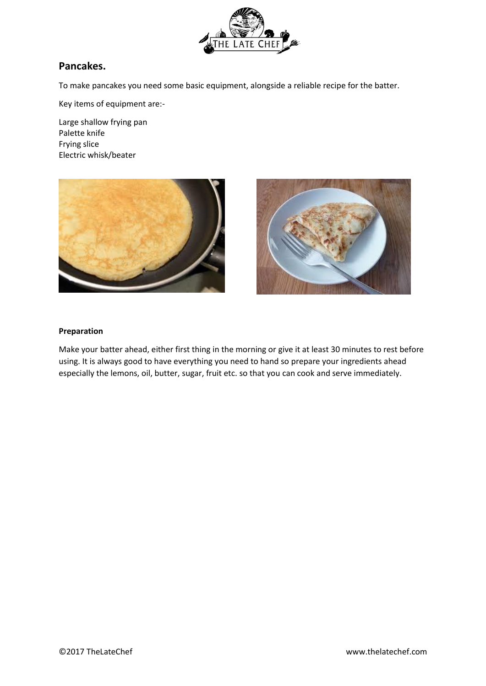

# **Pancakes.**

To make pancakes you need some basic equipment, alongside a reliable recipe for the batter.

Key items of equipment are:-

Large shallow frying pan Palette knife Frying slice Electric whisk/beater





## **Preparation**

Make your batter ahead, either first thing in the morning or give it at least 30 minutes to rest before using. It is always good to have everything you need to hand so prepare your ingredients ahead especially the lemons, oil, butter, sugar, fruit etc. so that you can cook and serve immediately.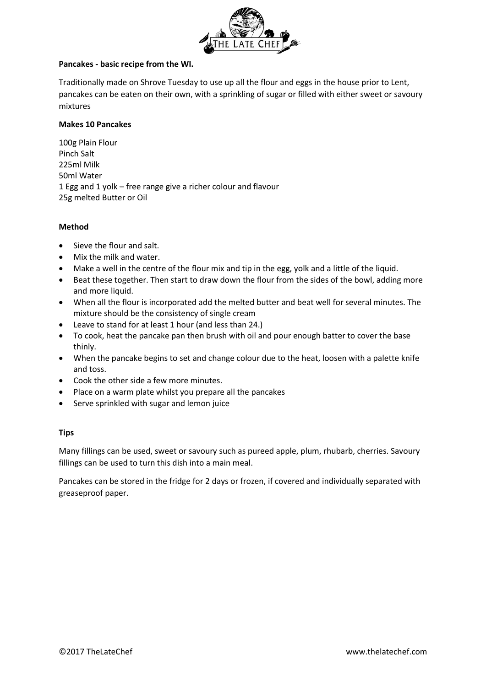

## **Pancakes - basic recipe from the WI.**

Traditionally made on Shrove Tuesday to use up all the flour and eggs in the house prior to Lent, pancakes can be eaten on their own, with a sprinkling of sugar or filled with either sweet or savoury mixtures

## **Makes 10 Pancakes**

100g Plain Flour Pinch Salt 225ml Milk 50ml Water 1 Egg and 1 yolk – free range give a richer colour and flavour 25g melted Butter or Oil

## **Method**

- Sieve the flour and salt.
- Mix the milk and water.
- Make a well in the centre of the flour mix and tip in the egg, yolk and a little of the liquid.
- Beat these together. Then start to draw down the flour from the sides of the bowl, adding more and more liquid.
- When all the flour is incorporated add the melted butter and beat well for several minutes. The mixture should be the consistency of single cream
- Leave to stand for at least 1 hour (and less than 24.)
- To cook, heat the pancake pan then brush with oil and pour enough batter to cover the base thinly.
- When the pancake begins to set and change colour due to the heat, loosen with a palette knife and toss.
- Cook the other side a few more minutes.
- Place on a warm plate whilst you prepare all the pancakes
- Serve sprinkled with sugar and lemon juice

# **Tips**

Many fillings can be used, sweet or savoury such as pureed apple, plum, rhubarb, cherries. Savoury fillings can be used to turn this dish into a main meal.

Pancakes can be stored in the fridge for 2 days or frozen, if covered and individually separated with greaseproof paper.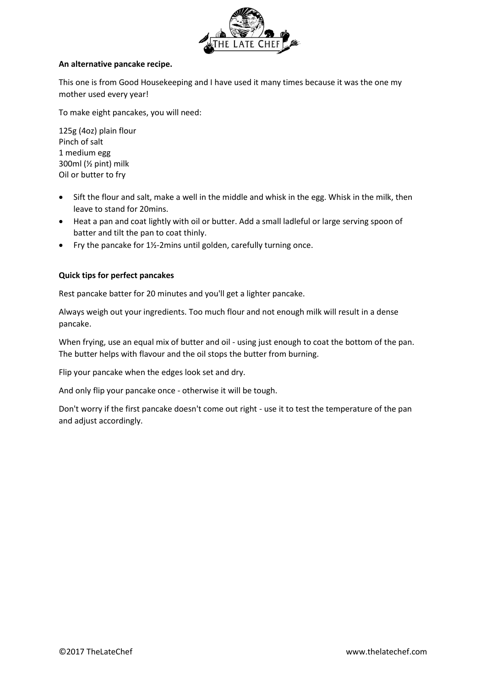

## **An alternative pancake recipe.**

This one is from Good Housekeeping and I have used it many times because it was the one my mother used every year!

To make eight pancakes, you will need:

125g (4oz) plain flour Pinch of salt 1 medium egg 300ml (½ pint) milk Oil or butter to fry

- Sift the flour and salt, make a well in the middle and whisk in the egg. Whisk in the milk, then leave to stand for 20mins.
- Heat a pan and coat lightly with oil or butter. Add a small ladleful or large serving spoon of batter and tilt the pan to coat thinly.
- Fry the pancake for  $1\frac{1}{2}$ -2mins until golden, carefully turning once.

## **Quick tips for perfect pancakes**

Rest pancake batter for 20 minutes and you'll get a lighter pancake.

Always weigh out your ingredients. Too much flour and not enough milk will result in a dense pancake.

When frying, use an equal mix of butter and oil - using just enough to coat the bottom of the pan. The butter helps with flavour and the oil stops the butter from burning.

Flip your pancake when the edges look set and dry.

And only flip your pancake once - otherwise it will be tough.

Don't worry if the first pancake doesn't come out right - use it to test the temperature of the pan and adjust accordingly.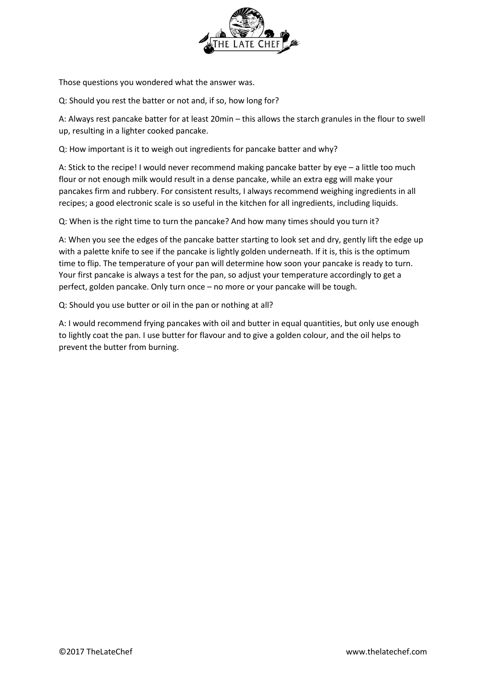

Those questions you wondered what the answer was.

Q: Should you rest the batter or not and, if so, how long for?

A: Always rest pancake batter for at least 20min – this allows the starch granules in the flour to swell up, resulting in a lighter cooked pancake.

Q: How important is it to weigh out ingredients for pancake batter and why?

A: Stick to the recipe! I would never recommend making pancake batter by eye – a little too much flour or not enough milk would result in a dense pancake, while an extra egg will make your pancakes firm and rubbery. For consistent results, I always recommend weighing ingredients in all recipes; a good electronic scale is so useful in the kitchen for all ingredients, including liquids.

Q: When is the right time to turn the pancake? And how many times should you turn it?

A: When you see the edges of the pancake batter starting to look set and dry, gently lift the edge up with a palette knife to see if the pancake is lightly golden underneath. If it is, this is the optimum time to flip. The temperature of your pan will determine how soon your pancake is ready to turn. Your first pancake is always a test for the pan, so adjust your temperature accordingly to get a perfect, golden pancake. Only turn once – no more or your pancake will be tough.

Q: Should you use butter or oil in the pan or nothing at all?

A: I would recommend frying pancakes with oil and butter in equal quantities, but only use enough to lightly coat the pan. I use butter for flavour and to give a golden colour, and the oil helps to prevent the butter from burning.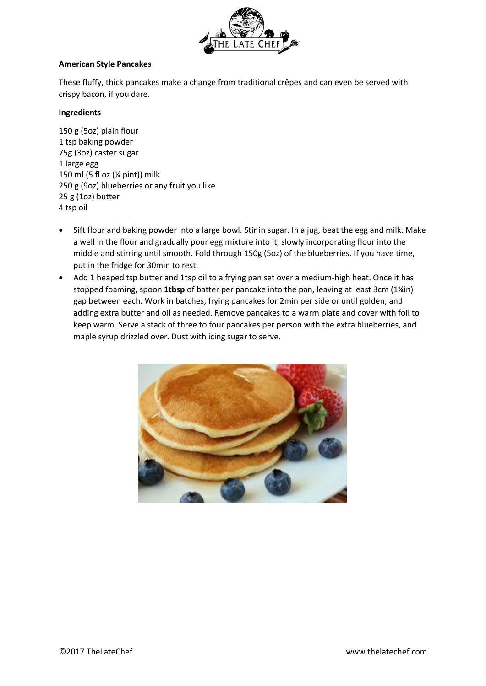

## **American Style Pancakes**

These fluffy, thick pancakes make a change from traditional crêpes and can even be served with crispy bacon, if you dare.

# **Ingredients**

150 g (5oz) plain flour 1 tsp baking powder 75g (3oz) caster sugar 1 large egg 150 ml (5 fl oz (¼ pint)) milk 250 g (9oz) blueberries or any fruit you like 25 g (1oz) butter 4 tsp oil

- Sift flour and baking powder into a large bowl. Stir in sugar. In a jug, beat the egg and milk. Make a well in the flour and gradually pour egg mixture into it, slowly incorporating flour into the middle and stirring until smooth. Fold through 150g (5oz) of the blueberries. If you have time, put in the fridge for 30min to rest.
- Add 1 heaped tsp butter and 1tsp oil to a frying pan set over a medium-high heat. Once it has stopped foaming, spoon **1tbsp** of batter per pancake into the pan, leaving at least 3cm (1¼in) gap between each. Work in batches, frying pancakes for 2min per side or until golden, and adding extra butter and oil as needed. Remove pancakes to a warm plate and cover with foil to keep warm. Serve a stack of three to four pancakes per person with the extra blueberries, and maple syrup drizzled over. Dust with icing sugar to serve.